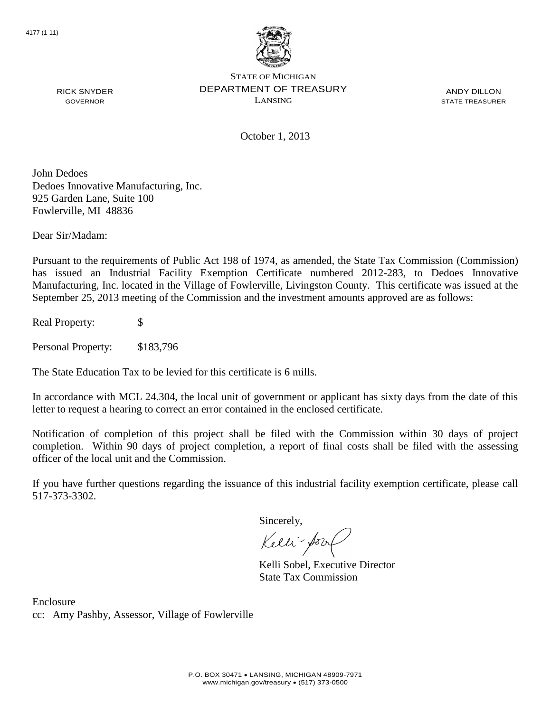

ANDY DILLON STATE TREASURER

RICK SNYDER GOVERNOR

October 1, 2013

John Dedoes Dedoes Innovative Manufacturing, Inc. 925 Garden Lane, Suite 100 Fowlerville, MI 48836

Dear Sir/Madam:

Pursuant to the requirements of Public Act 198 of 1974, as amended, the State Tax Commission (Commission) has issued an Industrial Facility Exemption Certificate numbered 2012-283, to Dedoes Innovative Manufacturing, Inc. located in the Village of Fowlerville, Livingston County. This certificate was issued at the September 25, 2013 meeting of the Commission and the investment amounts approved are as follows:

Real Property: \$

Personal Property: \$183,796

The State Education Tax to be levied for this certificate is 6 mills.

In accordance with MCL 24.304, the local unit of government or applicant has sixty days from the date of this letter to request a hearing to correct an error contained in the enclosed certificate.

Notification of completion of this project shall be filed with the Commission within 30 days of project completion. Within 90 days of project completion, a report of final costs shall be filed with the assessing officer of the local unit and the Commission.

If you have further questions regarding the issuance of this industrial facility exemption certificate, please call 517-373-3302.

Sincerely,

Kelli-Sor

Kelli Sobel, Executive Director State Tax Commission

Enclosure cc: Amy Pashby, Assessor, Village of Fowlerville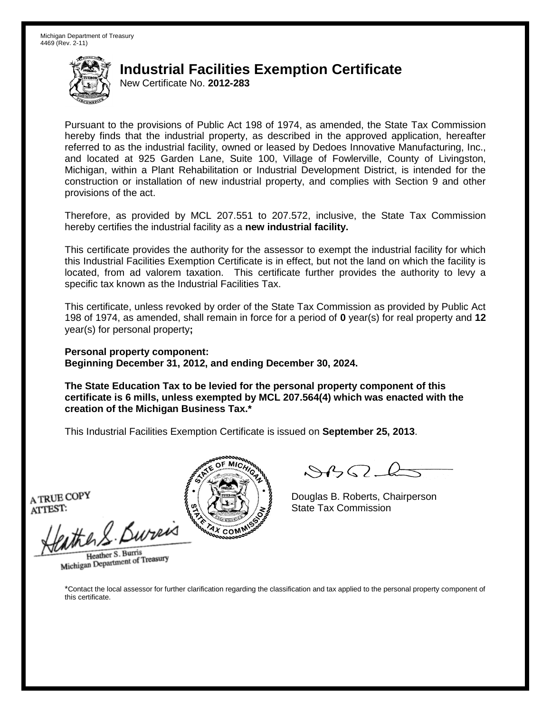New Certificate No. **2012-283**

Pursuant to the provisions of Public Act 198 of 1974, as amended, the State Tax Commission hereby finds that the industrial property, as described in the approved application, hereafter referred to as the industrial facility, owned or leased by Dedoes Innovative Manufacturing, Inc., and located at 925 Garden Lane, Suite 100, Village of Fowlerville, County of Livingston, Michigan, within a Plant Rehabilitation or Industrial Development District, is intended for the construction or installation of new industrial property, and complies with Section 9 and other provisions of the act.

Therefore, as provided by MCL 207.551 to 207.572, inclusive, the State Tax Commission hereby certifies the industrial facility as a **new industrial facility.**

This certificate provides the authority for the assessor to exempt the industrial facility for which this Industrial Facilities Exemption Certificate is in effect, but not the land on which the facility is located, from ad valorem taxation. This certificate further provides the authority to levy a specific tax known as the Industrial Facilities Tax.

This certificate, unless revoked by order of the State Tax Commission as provided by Public Act 198 of 1974, as amended, shall remain in force for a period of **0** year(s) for real property and **12** year(s) for personal property**;**

**Personal property component: Beginning December 31, 2012, and ending December 30, 2024.**

**The State Education Tax to be levied for the personal property component of this certificate is 6 mills, unless exempted by MCL 207.564(4) which was enacted with the creation of the Michigan Business Tax.\***

This Industrial Facilities Exemption Certificate is issued on **September 25, 2013**.

A TRUE COPY ATTEST:

ather S. Burei

Heather S. Burris Heather S. Burns<br>Michigan Department of Treasury



Douglas B. Roberts, Chairperson State Tax Commission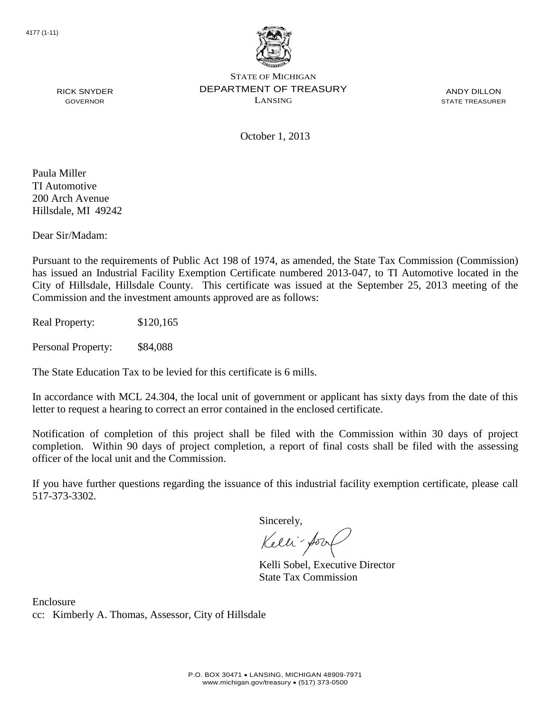

ANDY DILLON STATE TREASURER

October 1, 2013

Paula Miller TI Automotive 200 Arch Avenue Hillsdale, MI 49242

RICK SNYDER GOVERNOR

Dear Sir/Madam:

Pursuant to the requirements of Public Act 198 of 1974, as amended, the State Tax Commission (Commission) has issued an Industrial Facility Exemption Certificate numbered 2013-047, to TI Automotive located in the City of Hillsdale, Hillsdale County. This certificate was issued at the September 25, 2013 meeting of the Commission and the investment amounts approved are as follows:

Real Property: \$120,165

Personal Property: \$84,088

The State Education Tax to be levied for this certificate is 6 mills.

In accordance with MCL 24.304, the local unit of government or applicant has sixty days from the date of this letter to request a hearing to correct an error contained in the enclosed certificate.

Notification of completion of this project shall be filed with the Commission within 30 days of project completion. Within 90 days of project completion, a report of final costs shall be filed with the assessing officer of the local unit and the Commission.

If you have further questions regarding the issuance of this industrial facility exemption certificate, please call 517-373-3302.

Sincerely,

Kelli-Sor

Kelli Sobel, Executive Director State Tax Commission

Enclosure cc: Kimberly A. Thomas, Assessor, City of Hillsdale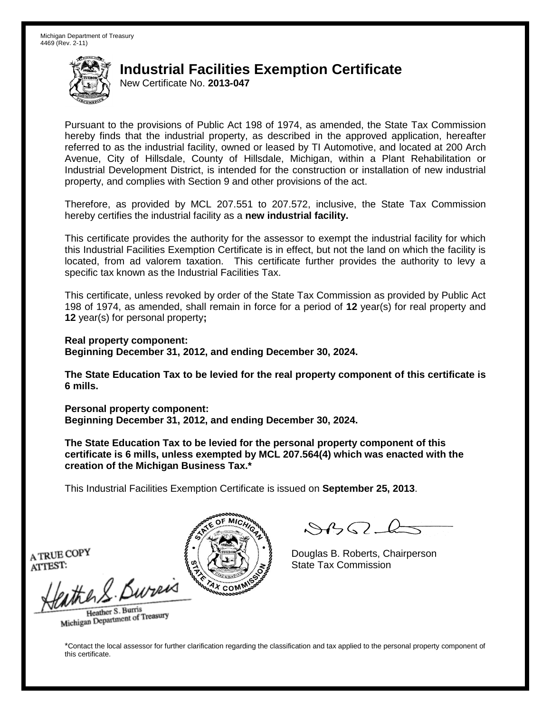New Certificate No. **2013-047**

Pursuant to the provisions of Public Act 198 of 1974, as amended, the State Tax Commission hereby finds that the industrial property, as described in the approved application, hereafter referred to as the industrial facility, owned or leased by TI Automotive, and located at 200 Arch Avenue, City of Hillsdale, County of Hillsdale, Michigan, within a Plant Rehabilitation or Industrial Development District, is intended for the construction or installation of new industrial property, and complies with Section 9 and other provisions of the act.

Therefore, as provided by MCL 207.551 to 207.572, inclusive, the State Tax Commission hereby certifies the industrial facility as a **new industrial facility.**

This certificate provides the authority for the assessor to exempt the industrial facility for which this Industrial Facilities Exemption Certificate is in effect, but not the land on which the facility is located, from ad valorem taxation. This certificate further provides the authority to levy a specific tax known as the Industrial Facilities Tax.

This certificate, unless revoked by order of the State Tax Commission as provided by Public Act 198 of 1974, as amended, shall remain in force for a period of **12** year(s) for real property and **12** year(s) for personal property**;**

**Real property component: Beginning December 31, 2012, and ending December 30, 2024.**

**The State Education Tax to be levied for the real property component of this certificate is 6 mills.**

**Personal property component: Beginning December 31, 2012, and ending December 30, 2024.**

**The State Education Tax to be levied for the personal property component of this certificate is 6 mills, unless exempted by MCL 207.564(4) which was enacted with the creation of the Michigan Business Tax.\***

This Industrial Facilities Exemption Certificate is issued on **September 25, 2013**.

 $\mathcal{S}$ 

Douglas B. Roberts, Chairperson State Tax Commission

A TRUE COPY ATTEST:

eather & Burn

Heather S. Burris Heather S. Burns<br>Michigan Department of Treasury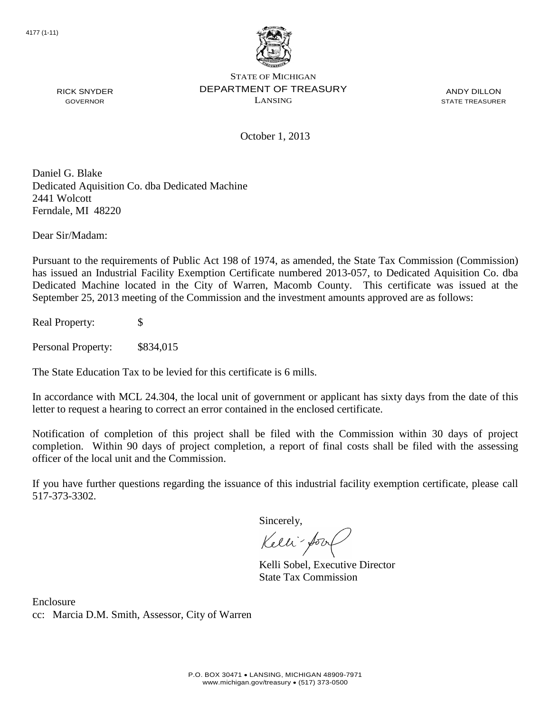

ANDY DILLON STATE TREASURER

October 1, 2013

Daniel G. Blake Dedicated Aquisition Co. dba Dedicated Machine 2441 Wolcott Ferndale, MI 48220

Dear Sir/Madam:

RICK SNYDER GOVERNOR

Pursuant to the requirements of Public Act 198 of 1974, as amended, the State Tax Commission (Commission) has issued an Industrial Facility Exemption Certificate numbered 2013-057, to Dedicated Aquisition Co. dba Dedicated Machine located in the City of Warren, Macomb County. This certificate was issued at the September 25, 2013 meeting of the Commission and the investment amounts approved are as follows:

Real Property: \$

Personal Property: \$834,015

The State Education Tax to be levied for this certificate is 6 mills.

In accordance with MCL 24.304, the local unit of government or applicant has sixty days from the date of this letter to request a hearing to correct an error contained in the enclosed certificate.

Notification of completion of this project shall be filed with the Commission within 30 days of project completion. Within 90 days of project completion, a report of final costs shall be filed with the assessing officer of the local unit and the Commission.

If you have further questions regarding the issuance of this industrial facility exemption certificate, please call 517-373-3302.

Sincerely,

Kelli-Sor

Kelli Sobel, Executive Director State Tax Commission

Enclosure cc: Marcia D.M. Smith, Assessor, City of Warren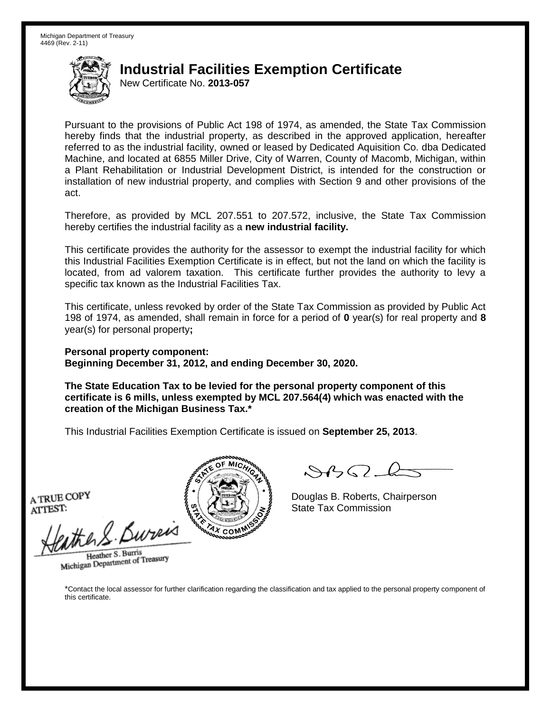New Certificate No. **2013-057**

Pursuant to the provisions of Public Act 198 of 1974, as amended, the State Tax Commission hereby finds that the industrial property, as described in the approved application, hereafter referred to as the industrial facility, owned or leased by Dedicated Aquisition Co. dba Dedicated Machine, and located at 6855 Miller Drive, City of Warren, County of Macomb, Michigan, within a Plant Rehabilitation or Industrial Development District, is intended for the construction or installation of new industrial property, and complies with Section 9 and other provisions of the act.

Therefore, as provided by MCL 207.551 to 207.572, inclusive, the State Tax Commission hereby certifies the industrial facility as a **new industrial facility.**

This certificate provides the authority for the assessor to exempt the industrial facility for which this Industrial Facilities Exemption Certificate is in effect, but not the land on which the facility is located, from ad valorem taxation. This certificate further provides the authority to levy a specific tax known as the Industrial Facilities Tax.

This certificate, unless revoked by order of the State Tax Commission as provided by Public Act 198 of 1974, as amended, shall remain in force for a period of **0** year(s) for real property and **8** year(s) for personal property**;**

**Personal property component: Beginning December 31, 2012, and ending December 30, 2020.**

**The State Education Tax to be levied for the personal property component of this certificate is 6 mills, unless exempted by MCL 207.564(4) which was enacted with the creation of the Michigan Business Tax.\***

This Industrial Facilities Exemption Certificate is issued on **September 25, 2013**.

A TRUE COPY ATTEST:

athers Burner

Heather S. Burris Heather S. Burns<br>Michigan Department of Treasury



Douglas B. Roberts, Chairperson State Tax Commission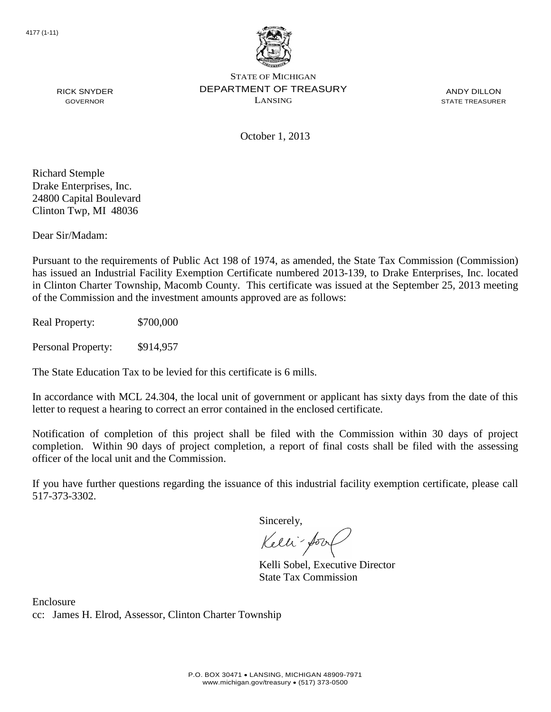

ANDY DILLON STATE TREASURER

October 1, 2013

Richard Stemple Drake Enterprises, Inc. 24800 Capital Boulevard Clinton Twp, MI 48036

RICK SNYDER GOVERNOR

Dear Sir/Madam:

Pursuant to the requirements of Public Act 198 of 1974, as amended, the State Tax Commission (Commission) has issued an Industrial Facility Exemption Certificate numbered 2013-139, to Drake Enterprises, Inc. located in Clinton Charter Township, Macomb County. This certificate was issued at the September 25, 2013 meeting of the Commission and the investment amounts approved are as follows:

Real Property: \$700,000

Personal Property: \$914,957

The State Education Tax to be levied for this certificate is 6 mills.

In accordance with MCL 24.304, the local unit of government or applicant has sixty days from the date of this letter to request a hearing to correct an error contained in the enclosed certificate.

Notification of completion of this project shall be filed with the Commission within 30 days of project completion. Within 90 days of project completion, a report of final costs shall be filed with the assessing officer of the local unit and the Commission.

If you have further questions regarding the issuance of this industrial facility exemption certificate, please call 517-373-3302.

Sincerely,

Kelli-Sor

Kelli Sobel, Executive Director State Tax Commission

Enclosure cc: James H. Elrod, Assessor, Clinton Charter Township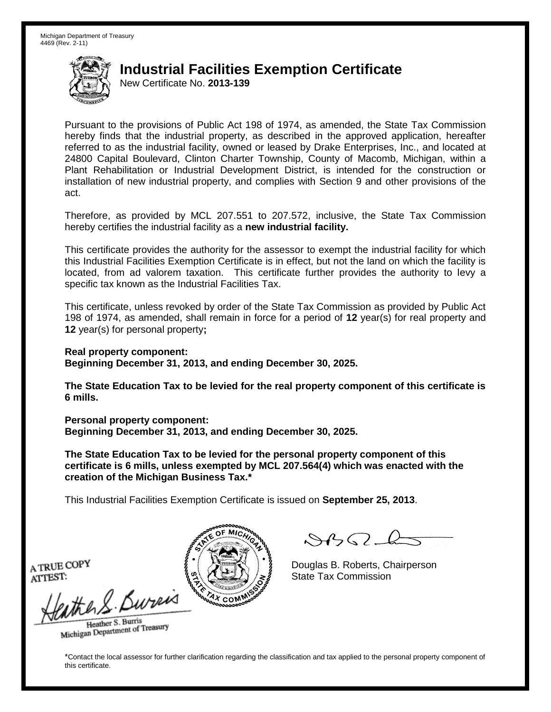New Certificate No. **2013-139**

Pursuant to the provisions of Public Act 198 of 1974, as amended, the State Tax Commission hereby finds that the industrial property, as described in the approved application, hereafter referred to as the industrial facility, owned or leased by Drake Enterprises, Inc., and located at 24800 Capital Boulevard, Clinton Charter Township, County of Macomb, Michigan, within a Plant Rehabilitation or Industrial Development District, is intended for the construction or installation of new industrial property, and complies with Section 9 and other provisions of the act.

Therefore, as provided by MCL 207.551 to 207.572, inclusive, the State Tax Commission hereby certifies the industrial facility as a **new industrial facility.**

This certificate provides the authority for the assessor to exempt the industrial facility for which this Industrial Facilities Exemption Certificate is in effect, but not the land on which the facility is located, from ad valorem taxation. This certificate further provides the authority to levy a specific tax known as the Industrial Facilities Tax.

This certificate, unless revoked by order of the State Tax Commission as provided by Public Act 198 of 1974, as amended, shall remain in force for a period of **12** year(s) for real property and **12** year(s) for personal property**;**

**Real property component:**

**Beginning December 31, 2013, and ending December 30, 2025.**

**The State Education Tax to be levied for the real property component of this certificate is 6 mills.**

**Personal property component: Beginning December 31, 2013, and ending December 30, 2025.**

**The State Education Tax to be levied for the personal property component of this certificate is 6 mills, unless exempted by MCL 207.564(4) which was enacted with the creation of the Michigan Business Tax.\***

This Industrial Facilities Exemption Certificate is issued on **September 25, 2013**.

 $\mathcal{A}_{\mathcal{A}}\Omega$ 

Douglas B. Roberts, Chairperson State Tax Commission

A TRUE COPY ATTEST:

the S. Bureis

Heather S. Burris Heather S. Buris<br>Michigan Department of Treasury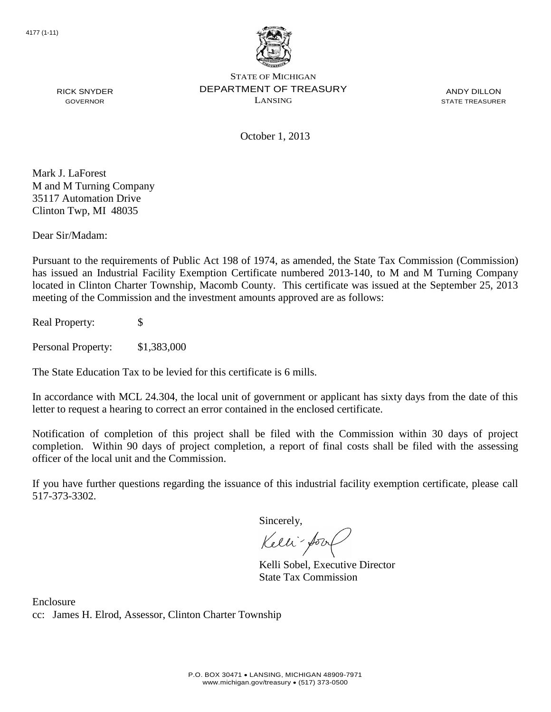

ANDY DILLON STATE TREASURER

October 1, 2013

Mark J. LaForest M and M Turning Company 35117 Automation Drive Clinton Twp, MI 48035

RICK SNYDER GOVERNOR

Dear Sir/Madam:

Pursuant to the requirements of Public Act 198 of 1974, as amended, the State Tax Commission (Commission) has issued an Industrial Facility Exemption Certificate numbered 2013-140, to M and M Turning Company located in Clinton Charter Township, Macomb County. This certificate was issued at the September 25, 2013 meeting of the Commission and the investment amounts approved are as follows:

Real Property: \$

Personal Property: \$1,383,000

The State Education Tax to be levied for this certificate is 6 mills.

In accordance with MCL 24.304, the local unit of government or applicant has sixty days from the date of this letter to request a hearing to correct an error contained in the enclosed certificate.

Notification of completion of this project shall be filed with the Commission within 30 days of project completion. Within 90 days of project completion, a report of final costs shall be filed with the assessing officer of the local unit and the Commission.

If you have further questions regarding the issuance of this industrial facility exemption certificate, please call 517-373-3302.

Sincerely,

Kelli-Sor

Kelli Sobel, Executive Director State Tax Commission

Enclosure cc: James H. Elrod, Assessor, Clinton Charter Township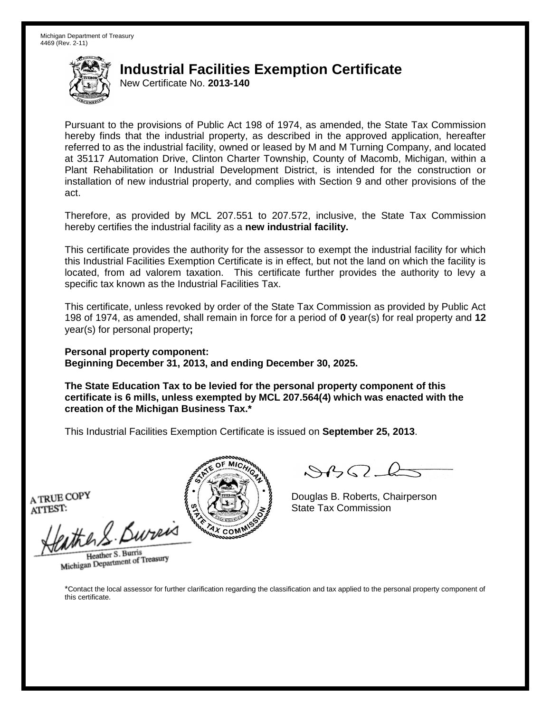New Certificate No. **2013-140**

Pursuant to the provisions of Public Act 198 of 1974, as amended, the State Tax Commission hereby finds that the industrial property, as described in the approved application, hereafter referred to as the industrial facility, owned or leased by M and M Turning Company, and located at 35117 Automation Drive, Clinton Charter Township, County of Macomb, Michigan, within a Plant Rehabilitation or Industrial Development District, is intended for the construction or installation of new industrial property, and complies with Section 9 and other provisions of the act.

Therefore, as provided by MCL 207.551 to 207.572, inclusive, the State Tax Commission hereby certifies the industrial facility as a **new industrial facility.**

This certificate provides the authority for the assessor to exempt the industrial facility for which this Industrial Facilities Exemption Certificate is in effect, but not the land on which the facility is located, from ad valorem taxation. This certificate further provides the authority to levy a specific tax known as the Industrial Facilities Tax.

This certificate, unless revoked by order of the State Tax Commission as provided by Public Act 198 of 1974, as amended, shall remain in force for a period of **0** year(s) for real property and **12** year(s) for personal property**;**

**Personal property component: Beginning December 31, 2013, and ending December 30, 2025.**

**The State Education Tax to be levied for the personal property component of this certificate is 6 mills, unless exempted by MCL 207.564(4) which was enacted with the creation of the Michigan Business Tax.\***

This Industrial Facilities Exemption Certificate is issued on **September 25, 2013**.

A TRUE COPY ATTEST:

athers Burner

Heather S. Burris Heather S. Burns<br>Michigan Department of Treasury



Douglas B. Roberts, Chairperson State Tax Commission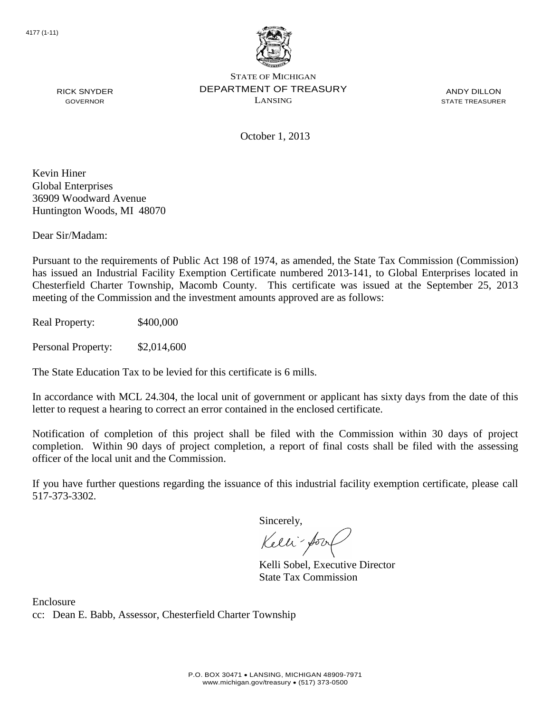

ANDY DILLON STATE TREASURER

RICK SNYDER GOVERNOR

October 1, 2013

Kevin Hiner Global Enterprises 36909 Woodward Avenue Huntington Woods, MI 48070

Dear Sir/Madam:

Pursuant to the requirements of Public Act 198 of 1974, as amended, the State Tax Commission (Commission) has issued an Industrial Facility Exemption Certificate numbered 2013-141, to Global Enterprises located in Chesterfield Charter Township, Macomb County. This certificate was issued at the September 25, 2013 meeting of the Commission and the investment amounts approved are as follows:

Real Property: \$400,000

Personal Property: \$2,014,600

The State Education Tax to be levied for this certificate is 6 mills.

In accordance with MCL 24.304, the local unit of government or applicant has sixty days from the date of this letter to request a hearing to correct an error contained in the enclosed certificate.

Notification of completion of this project shall be filed with the Commission within 30 days of project completion. Within 90 days of project completion, a report of final costs shall be filed with the assessing officer of the local unit and the Commission.

If you have further questions regarding the issuance of this industrial facility exemption certificate, please call 517-373-3302.

Sincerely,

Kelli-Sor

Kelli Sobel, Executive Director State Tax Commission

Enclosure cc: Dean E. Babb, Assessor, Chesterfield Charter Township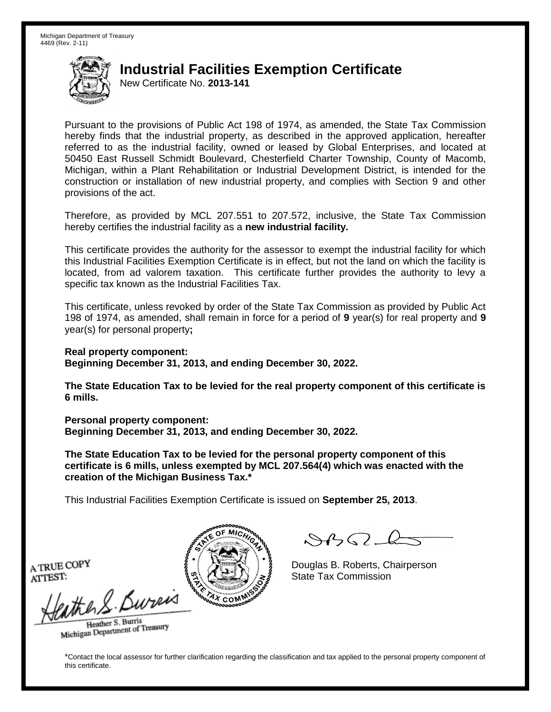New Certificate No. **2013-141**

Pursuant to the provisions of Public Act 198 of 1974, as amended, the State Tax Commission hereby finds that the industrial property, as described in the approved application, hereafter referred to as the industrial facility, owned or leased by Global Enterprises, and located at 50450 East Russell Schmidt Boulevard, Chesterfield Charter Township, County of Macomb, Michigan, within a Plant Rehabilitation or Industrial Development District, is intended for the construction or installation of new industrial property, and complies with Section 9 and other provisions of the act.

Therefore, as provided by MCL 207.551 to 207.572, inclusive, the State Tax Commission hereby certifies the industrial facility as a **new industrial facility.**

This certificate provides the authority for the assessor to exempt the industrial facility for which this Industrial Facilities Exemption Certificate is in effect, but not the land on which the facility is located, from ad valorem taxation. This certificate further provides the authority to levy a specific tax known as the Industrial Facilities Tax.

This certificate, unless revoked by order of the State Tax Commission as provided by Public Act 198 of 1974, as amended, shall remain in force for a period of **9** year(s) for real property and **9** year(s) for personal property**;**

**Real property component: Beginning December 31, 2013, and ending December 30, 2022.**

**The State Education Tax to be levied for the real property component of this certificate is 6 mills.**

**Personal property component: Beginning December 31, 2013, and ending December 30, 2022.**

**The State Education Tax to be levied for the personal property component of this certificate is 6 mills, unless exempted by MCL 207.564(4) which was enacted with the creation of the Michigan Business Tax.\***

This Industrial Facilities Exemption Certificate is issued on **September 25, 2013**.

 $\mathcal{A}_{1} \cap \mathcal{C}_{2}$ 

Douglas B. Roberts, Chairperson State Tax Commission

A TRUE COPY ATTEST:

the S. Bureis

Heather S. Burris Heather S. Buris<br>Michigan Department of Treasury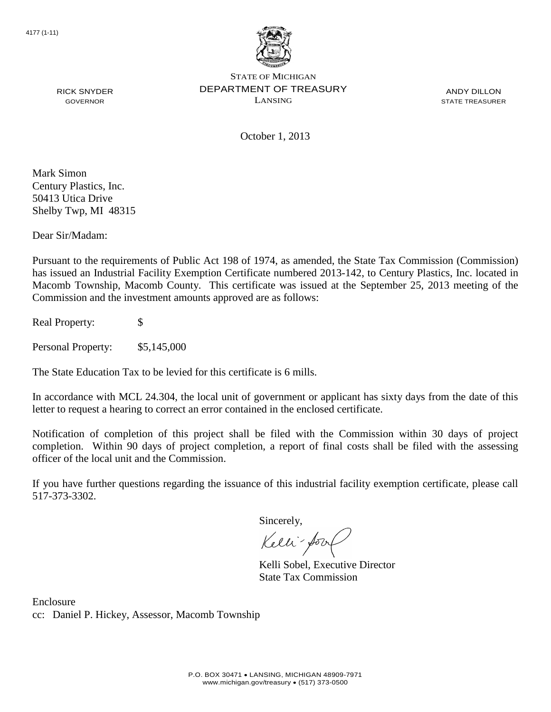

ANDY DILLON STATE TREASURER

RICK SNYDER GOVERNOR

October 1, 2013

Mark Simon Century Plastics, Inc. 50413 Utica Drive Shelby Twp, MI 48315

Dear Sir/Madam:

Pursuant to the requirements of Public Act 198 of 1974, as amended, the State Tax Commission (Commission) has issued an Industrial Facility Exemption Certificate numbered 2013-142, to Century Plastics, Inc. located in Macomb Township, Macomb County. This certificate was issued at the September 25, 2013 meeting of the Commission and the investment amounts approved are as follows:

Real Property: \$

Personal Property:  $$5,145,000$ 

The State Education Tax to be levied for this certificate is 6 mills.

In accordance with MCL 24.304, the local unit of government or applicant has sixty days from the date of this letter to request a hearing to correct an error contained in the enclosed certificate.

Notification of completion of this project shall be filed with the Commission within 30 days of project completion. Within 90 days of project completion, a report of final costs shall be filed with the assessing officer of the local unit and the Commission.

If you have further questions regarding the issuance of this industrial facility exemption certificate, please call 517-373-3302.

Sincerely,

Kelli-Sor

Kelli Sobel, Executive Director State Tax Commission

Enclosure cc: Daniel P. Hickey, Assessor, Macomb Township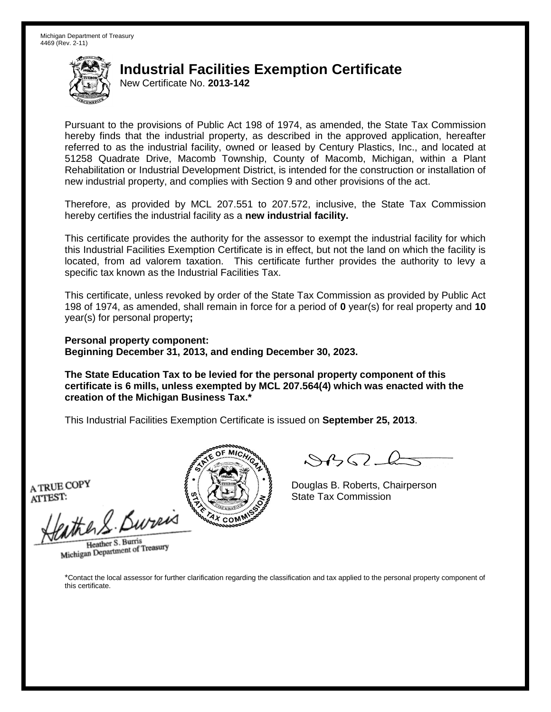New Certificate No. **2013-142**

Pursuant to the provisions of Public Act 198 of 1974, as amended, the State Tax Commission hereby finds that the industrial property, as described in the approved application, hereafter referred to as the industrial facility, owned or leased by Century Plastics, Inc., and located at 51258 Quadrate Drive, Macomb Township, County of Macomb, Michigan, within a Plant Rehabilitation or Industrial Development District, is intended for the construction or installation of new industrial property, and complies with Section 9 and other provisions of the act.

Therefore, as provided by MCL 207.551 to 207.572, inclusive, the State Tax Commission hereby certifies the industrial facility as a **new industrial facility.**

This certificate provides the authority for the assessor to exempt the industrial facility for which this Industrial Facilities Exemption Certificate is in effect, but not the land on which the facility is located, from ad valorem taxation. This certificate further provides the authority to levy a specific tax known as the Industrial Facilities Tax.

This certificate, unless revoked by order of the State Tax Commission as provided by Public Act 198 of 1974, as amended, shall remain in force for a period of **0** year(s) for real property and **10** year(s) for personal property**;**

**Personal property component: Beginning December 31, 2013, and ending December 30, 2023.**

**The State Education Tax to be levied for the personal property component of this certificate is 6 mills, unless exempted by MCL 207.564(4) which was enacted with the creation of the Michigan Business Tax.\***

This Industrial Facilities Exemption Certificate is issued on **September 25, 2013**.

A TRUE COPY ATTEST:

eather & Bureix

Heather S. Burris Heather S. Burns<br>Michigan Department of Treasury



 $8450 - 6$ 

Douglas B. Roberts, Chairperson State Tax Commission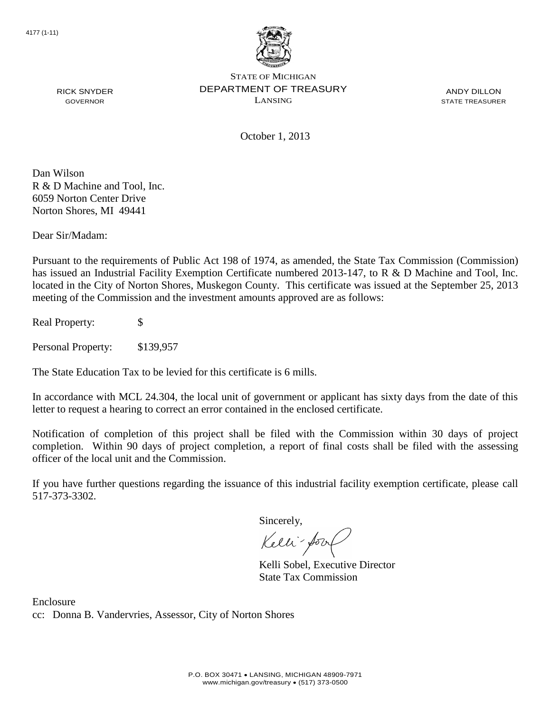

ANDY DILLON STATE TREASURER

October 1, 2013

Dan Wilson R & D Machine and Tool, Inc. 6059 Norton Center Drive Norton Shores, MI 49441

RICK SNYDER GOVERNOR

Dear Sir/Madam:

Pursuant to the requirements of Public Act 198 of 1974, as amended, the State Tax Commission (Commission) has issued an Industrial Facility Exemption Certificate numbered 2013-147, to R & D Machine and Tool, Inc. located in the City of Norton Shores, Muskegon County. This certificate was issued at the September 25, 2013 meeting of the Commission and the investment amounts approved are as follows:

Real Property: \$

Personal Property: \$139,957

The State Education Tax to be levied for this certificate is 6 mills.

In accordance with MCL 24.304, the local unit of government or applicant has sixty days from the date of this letter to request a hearing to correct an error contained in the enclosed certificate.

Notification of completion of this project shall be filed with the Commission within 30 days of project completion. Within 90 days of project completion, a report of final costs shall be filed with the assessing officer of the local unit and the Commission.

If you have further questions regarding the issuance of this industrial facility exemption certificate, please call 517-373-3302.

Sincerely,

Kelli-Sor

Kelli Sobel, Executive Director State Tax Commission

Enclosure cc: Donna B. Vandervries, Assessor, City of Norton Shores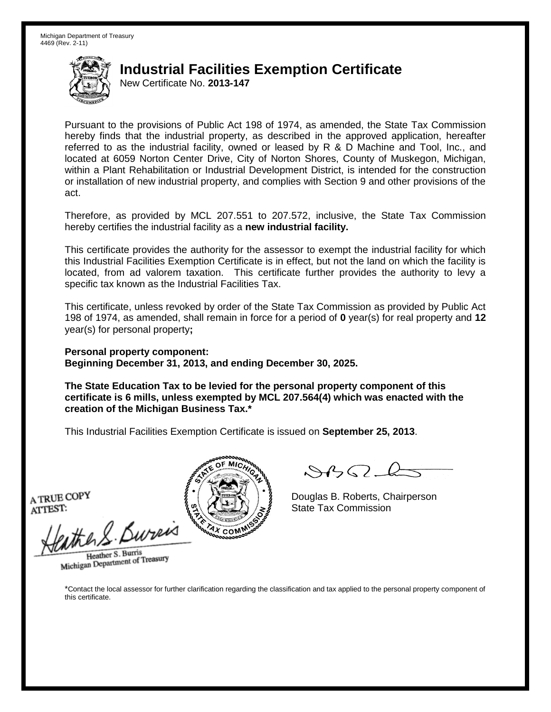New Certificate No. **2013-147**

Pursuant to the provisions of Public Act 198 of 1974, as amended, the State Tax Commission hereby finds that the industrial property, as described in the approved application, hereafter referred to as the industrial facility, owned or leased by R & D Machine and Tool, Inc., and located at 6059 Norton Center Drive, City of Norton Shores, County of Muskegon, Michigan, within a Plant Rehabilitation or Industrial Development District, is intended for the construction or installation of new industrial property, and complies with Section 9 and other provisions of the act.

Therefore, as provided by MCL 207.551 to 207.572, inclusive, the State Tax Commission hereby certifies the industrial facility as a **new industrial facility.**

This certificate provides the authority for the assessor to exempt the industrial facility for which this Industrial Facilities Exemption Certificate is in effect, but not the land on which the facility is located, from ad valorem taxation. This certificate further provides the authority to levy a specific tax known as the Industrial Facilities Tax.

This certificate, unless revoked by order of the State Tax Commission as provided by Public Act 198 of 1974, as amended, shall remain in force for a period of **0** year(s) for real property and **12** year(s) for personal property**;**

**Personal property component: Beginning December 31, 2013, and ending December 30, 2025.**

**The State Education Tax to be levied for the personal property component of this certificate is 6 mills, unless exempted by MCL 207.564(4) which was enacted with the creation of the Michigan Business Tax.\***

This Industrial Facilities Exemption Certificate is issued on **September 25, 2013**.

A TRUE COPY ATTEST:

athers Burner

Heather S. Burris Heather S. Burns<br>Michigan Department of Treasury



Douglas B. Roberts, Chairperson State Tax Commission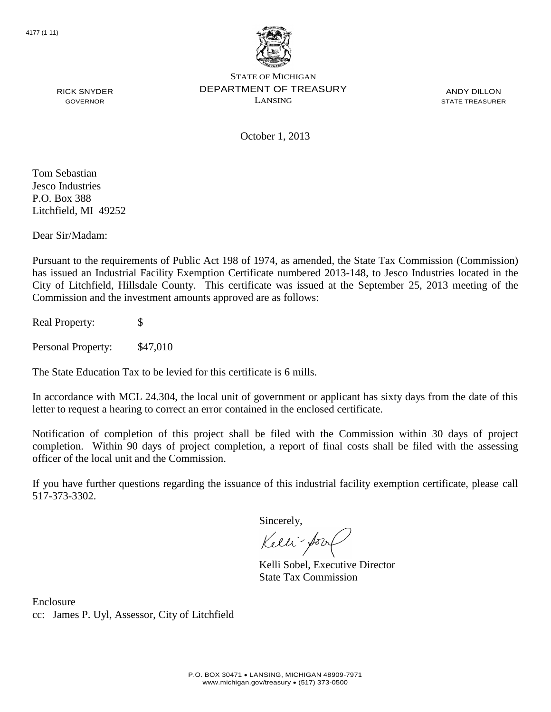

ANDY DILLON STATE TREASURER

October 1, 2013

Tom Sebastian Jesco Industries P.O. Box 388 Litchfield, MI 49252

RICK SNYDER GOVERNOR

Dear Sir/Madam:

Pursuant to the requirements of Public Act 198 of 1974, as amended, the State Tax Commission (Commission) has issued an Industrial Facility Exemption Certificate numbered 2013-148, to Jesco Industries located in the City of Litchfield, Hillsdale County. This certificate was issued at the September 25, 2013 meeting of the Commission and the investment amounts approved are as follows:

Real Property: \$

Personal Property: \$47,010

The State Education Tax to be levied for this certificate is 6 mills.

In accordance with MCL 24.304, the local unit of government or applicant has sixty days from the date of this letter to request a hearing to correct an error contained in the enclosed certificate.

Notification of completion of this project shall be filed with the Commission within 30 days of project completion. Within 90 days of project completion, a report of final costs shall be filed with the assessing officer of the local unit and the Commission.

If you have further questions regarding the issuance of this industrial facility exemption certificate, please call 517-373-3302.

Sincerely,

Kelli-Sor

Kelli Sobel, Executive Director State Tax Commission

Enclosure cc: James P. Uyl, Assessor, City of Litchfield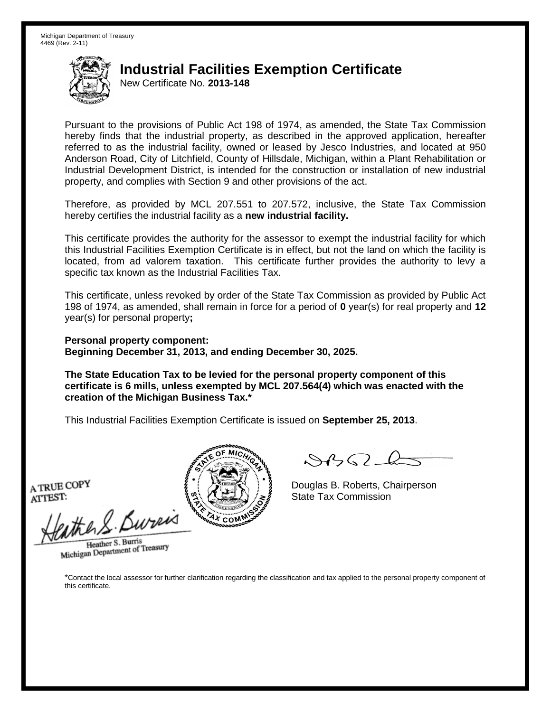New Certificate No. **2013-148**

Pursuant to the provisions of Public Act 198 of 1974, as amended, the State Tax Commission hereby finds that the industrial property, as described in the approved application, hereafter referred to as the industrial facility, owned or leased by Jesco Industries, and located at 950 Anderson Road, City of Litchfield, County of Hillsdale, Michigan, within a Plant Rehabilitation or Industrial Development District, is intended for the construction or installation of new industrial property, and complies with Section 9 and other provisions of the act.

Therefore, as provided by MCL 207.551 to 207.572, inclusive, the State Tax Commission hereby certifies the industrial facility as a **new industrial facility.**

This certificate provides the authority for the assessor to exempt the industrial facility for which this Industrial Facilities Exemption Certificate is in effect, but not the land on which the facility is located, from ad valorem taxation. This certificate further provides the authority to levy a specific tax known as the Industrial Facilities Tax.

This certificate, unless revoked by order of the State Tax Commission as provided by Public Act 198 of 1974, as amended, shall remain in force for a period of **0** year(s) for real property and **12** year(s) for personal property**;**

**Personal property component: Beginning December 31, 2013, and ending December 30, 2025.**

**The State Education Tax to be levied for the personal property component of this certificate is 6 mills, unless exempted by MCL 207.564(4) which was enacted with the creation of the Michigan Business Tax.\***

This Industrial Facilities Exemption Certificate is issued on **September 25, 2013**.

A TRUE COPY ATTEST:

eather & Bureix

Heather S. Burris Heather S. Burns<br>Michigan Department of Treasury



 $8450 - 6$ 

Douglas B. Roberts, Chairperson State Tax Commission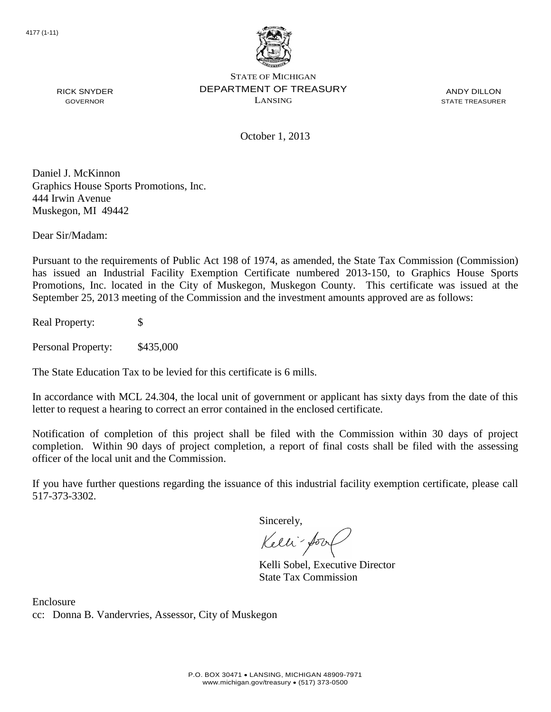

ANDY DILLON STATE TREASURER

October 1, 2013

Daniel J. McKinnon Graphics House Sports Promotions, Inc. 444 Irwin Avenue Muskegon, MI 49442

Dear Sir/Madam:

RICK SNYDER GOVERNOR

Pursuant to the requirements of Public Act 198 of 1974, as amended, the State Tax Commission (Commission) has issued an Industrial Facility Exemption Certificate numbered 2013-150, to Graphics House Sports Promotions, Inc. located in the City of Muskegon, Muskegon County. This certificate was issued at the September 25, 2013 meeting of the Commission and the investment amounts approved are as follows:

Real Property: \$

Personal Property: \$435,000

The State Education Tax to be levied for this certificate is 6 mills.

In accordance with MCL 24.304, the local unit of government or applicant has sixty days from the date of this letter to request a hearing to correct an error contained in the enclosed certificate.

Notification of completion of this project shall be filed with the Commission within 30 days of project completion. Within 90 days of project completion, a report of final costs shall be filed with the assessing officer of the local unit and the Commission.

If you have further questions regarding the issuance of this industrial facility exemption certificate, please call 517-373-3302.

Sincerely,

Kelli-Sor

Kelli Sobel, Executive Director State Tax Commission

Enclosure cc: Donna B. Vandervries, Assessor, City of Muskegon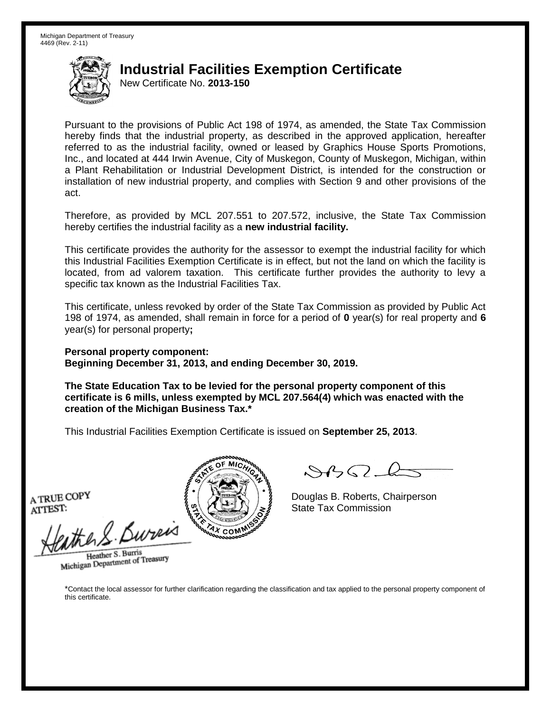New Certificate No. **2013-150**

Pursuant to the provisions of Public Act 198 of 1974, as amended, the State Tax Commission hereby finds that the industrial property, as described in the approved application, hereafter referred to as the industrial facility, owned or leased by Graphics House Sports Promotions, Inc., and located at 444 Irwin Avenue, City of Muskegon, County of Muskegon, Michigan, within a Plant Rehabilitation or Industrial Development District, is intended for the construction or installation of new industrial property, and complies with Section 9 and other provisions of the act.

Therefore, as provided by MCL 207.551 to 207.572, inclusive, the State Tax Commission hereby certifies the industrial facility as a **new industrial facility.**

This certificate provides the authority for the assessor to exempt the industrial facility for which this Industrial Facilities Exemption Certificate is in effect, but not the land on which the facility is located, from ad valorem taxation. This certificate further provides the authority to levy a specific tax known as the Industrial Facilities Tax.

This certificate, unless revoked by order of the State Tax Commission as provided by Public Act 198 of 1974, as amended, shall remain in force for a period of **0** year(s) for real property and **6** year(s) for personal property**;**

**Personal property component: Beginning December 31, 2013, and ending December 30, 2019.**

**The State Education Tax to be levied for the personal property component of this certificate is 6 mills, unless exempted by MCL 207.564(4) which was enacted with the creation of the Michigan Business Tax.\***

This Industrial Facilities Exemption Certificate is issued on **September 25, 2013**.

A TRUE COPY ATTEST:

athers Burner

Heather S. Burris Heather S. Burns<br>Michigan Department of Treasury



Douglas B. Roberts, Chairperson State Tax Commission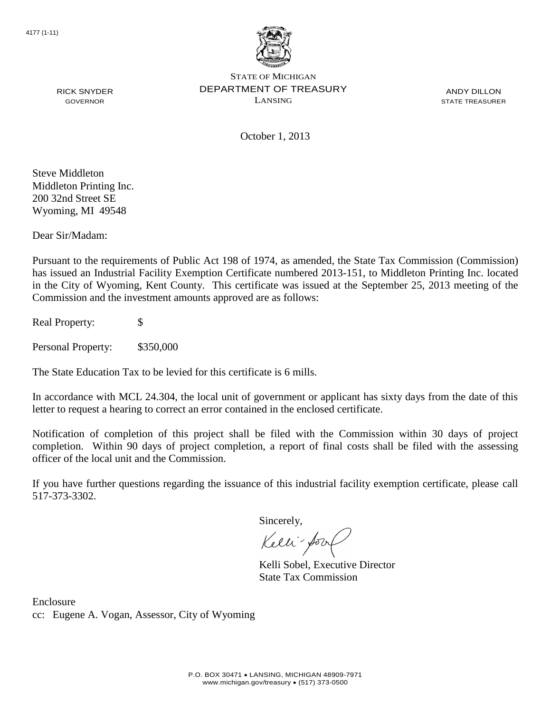

ANDY DILLON STATE TREASURER

RICK SNYDER GOVERNOR

October 1, 2013

Steve Middleton Middleton Printing Inc. 200 32nd Street SE Wyoming, MI 49548

Dear Sir/Madam:

Pursuant to the requirements of Public Act 198 of 1974, as amended, the State Tax Commission (Commission) has issued an Industrial Facility Exemption Certificate numbered 2013-151, to Middleton Printing Inc. located in the City of Wyoming, Kent County. This certificate was issued at the September 25, 2013 meeting of the Commission and the investment amounts approved are as follows:

Real Property: \$

Personal Property: \$350,000

The State Education Tax to be levied for this certificate is 6 mills.

In accordance with MCL 24.304, the local unit of government or applicant has sixty days from the date of this letter to request a hearing to correct an error contained in the enclosed certificate.

Notification of completion of this project shall be filed with the Commission within 30 days of project completion. Within 90 days of project completion, a report of final costs shall be filed with the assessing officer of the local unit and the Commission.

If you have further questions regarding the issuance of this industrial facility exemption certificate, please call 517-373-3302.

Sincerely,

Kelli-Sor

Kelli Sobel, Executive Director State Tax Commission

Enclosure cc: Eugene A. Vogan, Assessor, City of Wyoming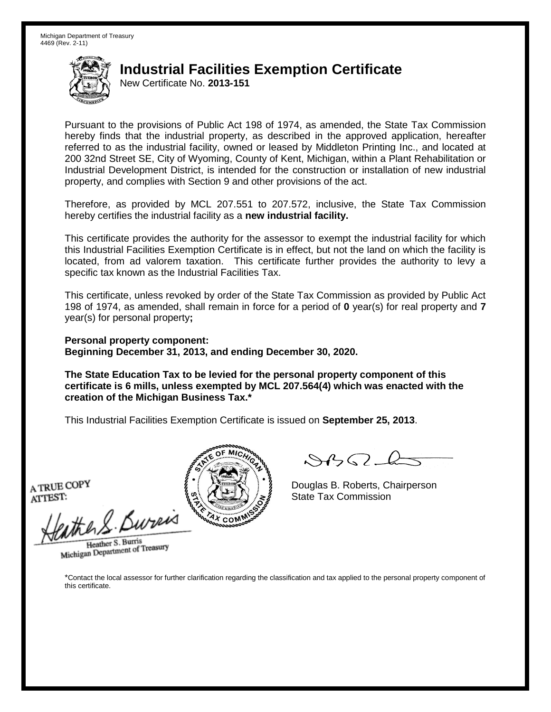New Certificate No. **2013-151**

Pursuant to the provisions of Public Act 198 of 1974, as amended, the State Tax Commission hereby finds that the industrial property, as described in the approved application, hereafter referred to as the industrial facility, owned or leased by Middleton Printing Inc., and located at 200 32nd Street SE, City of Wyoming, County of Kent, Michigan, within a Plant Rehabilitation or Industrial Development District, is intended for the construction or installation of new industrial property, and complies with Section 9 and other provisions of the act.

Therefore, as provided by MCL 207.551 to 207.572, inclusive, the State Tax Commission hereby certifies the industrial facility as a **new industrial facility.**

This certificate provides the authority for the assessor to exempt the industrial facility for which this Industrial Facilities Exemption Certificate is in effect, but not the land on which the facility is located, from ad valorem taxation. This certificate further provides the authority to levy a specific tax known as the Industrial Facilities Tax.

This certificate, unless revoked by order of the State Tax Commission as provided by Public Act 198 of 1974, as amended, shall remain in force for a period of **0** year(s) for real property and **7** year(s) for personal property**;**

**Personal property component: Beginning December 31, 2013, and ending December 30, 2020.**

**The State Education Tax to be levied for the personal property component of this certificate is 6 mills, unless exempted by MCL 207.564(4) which was enacted with the creation of the Michigan Business Tax.\***

This Industrial Facilities Exemption Certificate is issued on **September 25, 2013**.

A TRUE COPY ATTEST:

eather & Bureix

Heather S. Burris Heather S. Burns<br>Michigan Department of Treasury



 $84562-6$ 

Douglas B. Roberts, Chairperson State Tax Commission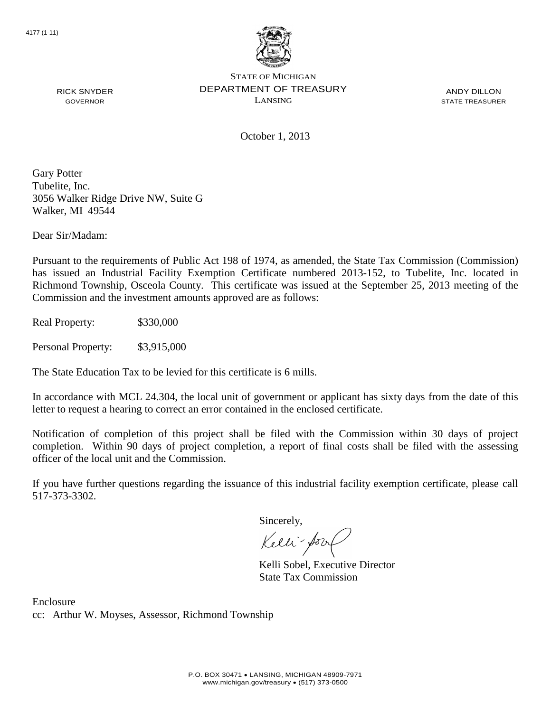

ANDY DILLON STATE TREASURER

October 1, 2013

Gary Potter Tubelite, Inc. 3056 Walker Ridge Drive NW, Suite G Walker, MI 49544

Dear Sir/Madam:

RICK SNYDER GOVERNOR

Pursuant to the requirements of Public Act 198 of 1974, as amended, the State Tax Commission (Commission) has issued an Industrial Facility Exemption Certificate numbered 2013-152, to Tubelite, Inc. located in Richmond Township, Osceola County. This certificate was issued at the September 25, 2013 meeting of the Commission and the investment amounts approved are as follows:

Real Property: \$330,000

Personal Property: \$3,915,000

The State Education Tax to be levied for this certificate is 6 mills.

In accordance with MCL 24.304, the local unit of government or applicant has sixty days from the date of this letter to request a hearing to correct an error contained in the enclosed certificate.

Notification of completion of this project shall be filed with the Commission within 30 days of project completion. Within 90 days of project completion, a report of final costs shall be filed with the assessing officer of the local unit and the Commission.

If you have further questions regarding the issuance of this industrial facility exemption certificate, please call 517-373-3302.

Sincerely,

Kelli-Sor

Kelli Sobel, Executive Director State Tax Commission

Enclosure cc: Arthur W. Moyses, Assessor, Richmond Township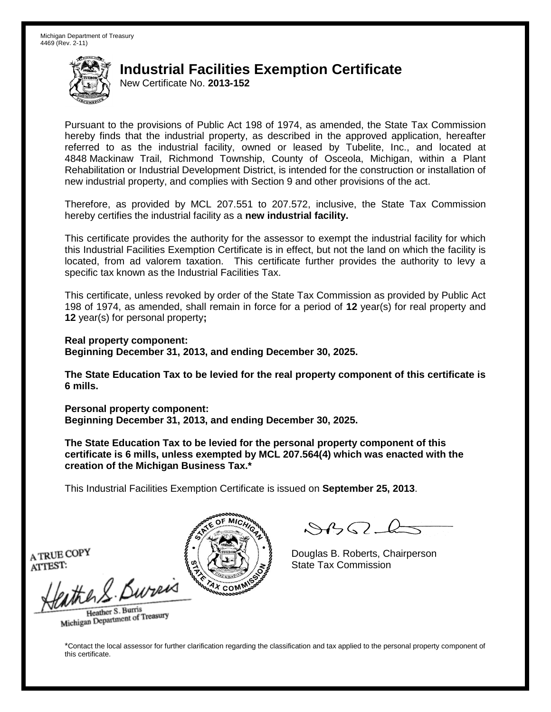New Certificate No. **2013-152**

Pursuant to the provisions of Public Act 198 of 1974, as amended, the State Tax Commission hereby finds that the industrial property, as described in the approved application, hereafter referred to as the industrial facility, owned or leased by Tubelite, Inc., and located at 4848 Mackinaw Trail, Richmond Township, County of Osceola, Michigan, within a Plant Rehabilitation or Industrial Development District, is intended for the construction or installation of new industrial property, and complies with Section 9 and other provisions of the act.

Therefore, as provided by MCL 207.551 to 207.572, inclusive, the State Tax Commission hereby certifies the industrial facility as a **new industrial facility.**

This certificate provides the authority for the assessor to exempt the industrial facility for which this Industrial Facilities Exemption Certificate is in effect, but not the land on which the facility is located, from ad valorem taxation. This certificate further provides the authority to levy a specific tax known as the Industrial Facilities Tax.

This certificate, unless revoked by order of the State Tax Commission as provided by Public Act 198 of 1974, as amended, shall remain in force for a period of **12** year(s) for real property and **12** year(s) for personal property**;**

**Real property component: Beginning December 31, 2013, and ending December 30, 2025.**

**The State Education Tax to be levied for the real property component of this certificate is 6 mills.**

**Personal property component: Beginning December 31, 2013, and ending December 30, 2025.**

**The State Education Tax to be levied for the personal property component of this certificate is 6 mills, unless exempted by MCL 207.564(4) which was enacted with the creation of the Michigan Business Tax.\***

This Industrial Facilities Exemption Certificate is issued on **September 25, 2013**.

 $\mathcal{S}$ 

Douglas B. Roberts, Chairperson State Tax Commission

A TRUE COPY ATTEST:

eather & Burn

Heather S. Burris Heather S. Buris<br>Michigan Department of Treasury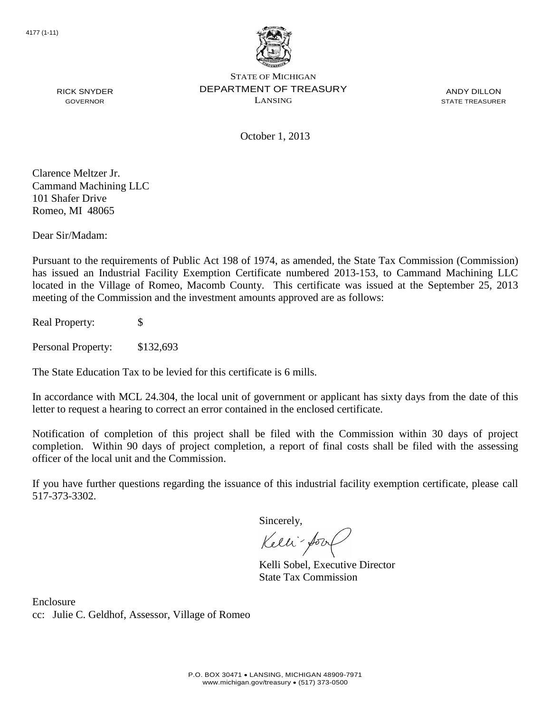

ANDY DILLON STATE TREASURER

October 1, 2013

Clarence Meltzer Jr. Cammand Machining LLC 101 Shafer Drive Romeo, MI 48065

RICK SNYDER GOVERNOR

Dear Sir/Madam:

Pursuant to the requirements of Public Act 198 of 1974, as amended, the State Tax Commission (Commission) has issued an Industrial Facility Exemption Certificate numbered 2013-153, to Cammand Machining LLC located in the Village of Romeo, Macomb County. This certificate was issued at the September 25, 2013 meeting of the Commission and the investment amounts approved are as follows:

Real Property: \$

Personal Property: \$132,693

The State Education Tax to be levied for this certificate is 6 mills.

In accordance with MCL 24.304, the local unit of government or applicant has sixty days from the date of this letter to request a hearing to correct an error contained in the enclosed certificate.

Notification of completion of this project shall be filed with the Commission within 30 days of project completion. Within 90 days of project completion, a report of final costs shall be filed with the assessing officer of the local unit and the Commission.

If you have further questions regarding the issuance of this industrial facility exemption certificate, please call 517-373-3302.

Sincerely,

Kelli-Sor

Kelli Sobel, Executive Director State Tax Commission

Enclosure cc: Julie C. Geldhof, Assessor, Village of Romeo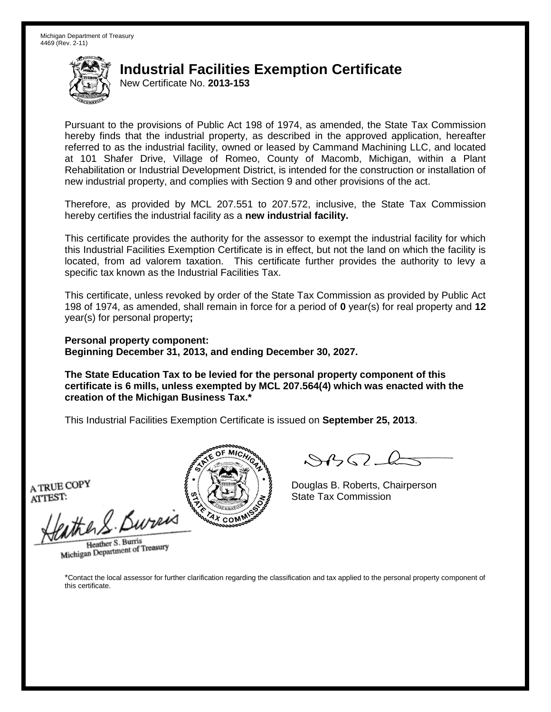New Certificate No. **2013-153**

Pursuant to the provisions of Public Act 198 of 1974, as amended, the State Tax Commission hereby finds that the industrial property, as described in the approved application, hereafter referred to as the industrial facility, owned or leased by Cammand Machining LLC, and located at 101 Shafer Drive, Village of Romeo, County of Macomb, Michigan, within a Plant Rehabilitation or Industrial Development District, is intended for the construction or installation of new industrial property, and complies with Section 9 and other provisions of the act.

Therefore, as provided by MCL 207.551 to 207.572, inclusive, the State Tax Commission hereby certifies the industrial facility as a **new industrial facility.**

This certificate provides the authority for the assessor to exempt the industrial facility for which this Industrial Facilities Exemption Certificate is in effect, but not the land on which the facility is located, from ad valorem taxation. This certificate further provides the authority to levy a specific tax known as the Industrial Facilities Tax.

This certificate, unless revoked by order of the State Tax Commission as provided by Public Act 198 of 1974, as amended, shall remain in force for a period of **0** year(s) for real property and **12** year(s) for personal property**;**

**Personal property component: Beginning December 31, 2013, and ending December 30, 2027.**

**The State Education Tax to be levied for the personal property component of this certificate is 6 mills, unless exempted by MCL 207.564(4) which was enacted with the creation of the Michigan Business Tax.\***

This Industrial Facilities Exemption Certificate is issued on **September 25, 2013**.

A TRUE COPY ATTEST:

eather & Bureix

Heather S. Burris Heather S. Burns<br>Michigan Department of Treasury



 $8450 - 6$ 

Douglas B. Roberts, Chairperson State Tax Commission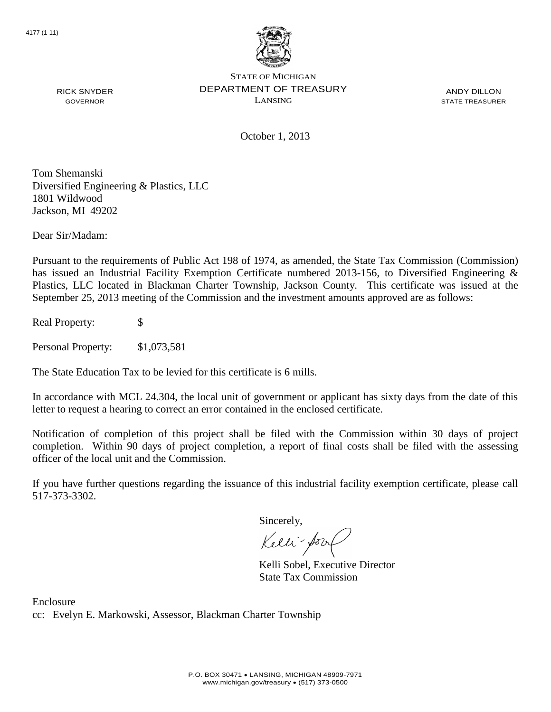

ANDY DILLON STATE TREASURER

RICK SNYDER GOVERNOR

October 1, 2013

Tom Shemanski Diversified Engineering & Plastics, LLC 1801 Wildwood Jackson, MI 49202

Dear Sir/Madam:

Pursuant to the requirements of Public Act 198 of 1974, as amended, the State Tax Commission (Commission) has issued an Industrial Facility Exemption Certificate numbered 2013-156, to Diversified Engineering & Plastics, LLC located in Blackman Charter Township, Jackson County. This certificate was issued at the September 25, 2013 meeting of the Commission and the investment amounts approved are as follows:

Real Property: \$

Personal Property: \$1,073,581

The State Education Tax to be levied for this certificate is 6 mills.

In accordance with MCL 24.304, the local unit of government or applicant has sixty days from the date of this letter to request a hearing to correct an error contained in the enclosed certificate.

Notification of completion of this project shall be filed with the Commission within 30 days of project completion. Within 90 days of project completion, a report of final costs shall be filed with the assessing officer of the local unit and the Commission.

If you have further questions regarding the issuance of this industrial facility exemption certificate, please call 517-373-3302.

Sincerely,

Kelli-Sor

Kelli Sobel, Executive Director State Tax Commission

Enclosure cc: Evelyn E. Markowski, Assessor, Blackman Charter Township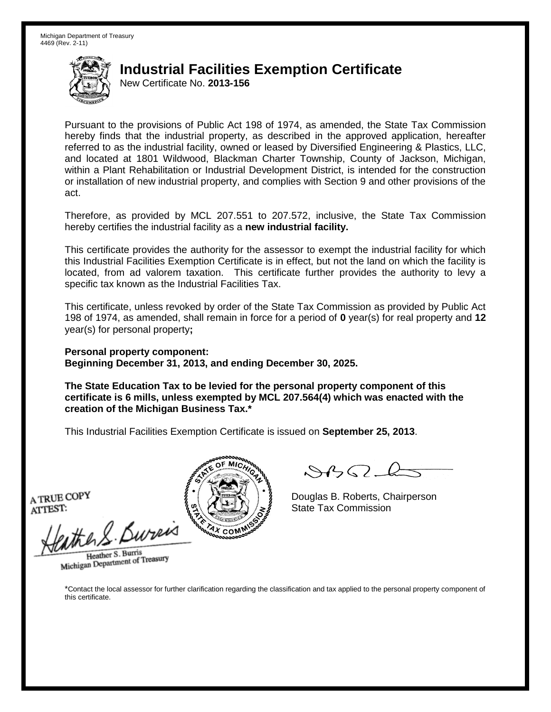New Certificate No. **2013-156**

Pursuant to the provisions of Public Act 198 of 1974, as amended, the State Tax Commission hereby finds that the industrial property, as described in the approved application, hereafter referred to as the industrial facility, owned or leased by Diversified Engineering & Plastics, LLC, and located at 1801 Wildwood, Blackman Charter Township, County of Jackson, Michigan, within a Plant Rehabilitation or Industrial Development District, is intended for the construction or installation of new industrial property, and complies with Section 9 and other provisions of the act.

Therefore, as provided by MCL 207.551 to 207.572, inclusive, the State Tax Commission hereby certifies the industrial facility as a **new industrial facility.**

This certificate provides the authority for the assessor to exempt the industrial facility for which this Industrial Facilities Exemption Certificate is in effect, but not the land on which the facility is located, from ad valorem taxation. This certificate further provides the authority to levy a specific tax known as the Industrial Facilities Tax.

This certificate, unless revoked by order of the State Tax Commission as provided by Public Act 198 of 1974, as amended, shall remain in force for a period of **0** year(s) for real property and **12** year(s) for personal property**;**

**Personal property component: Beginning December 31, 2013, and ending December 30, 2025.**

**The State Education Tax to be levied for the personal property component of this certificate is 6 mills, unless exempted by MCL 207.564(4) which was enacted with the creation of the Michigan Business Tax.\***

This Industrial Facilities Exemption Certificate is issued on **September 25, 2013**.

A TRUE COPY ATTEST:

athers Burner

Heather S. Burris Heather S. Burns<br>Michigan Department of Treasury



Douglas B. Roberts, Chairperson State Tax Commission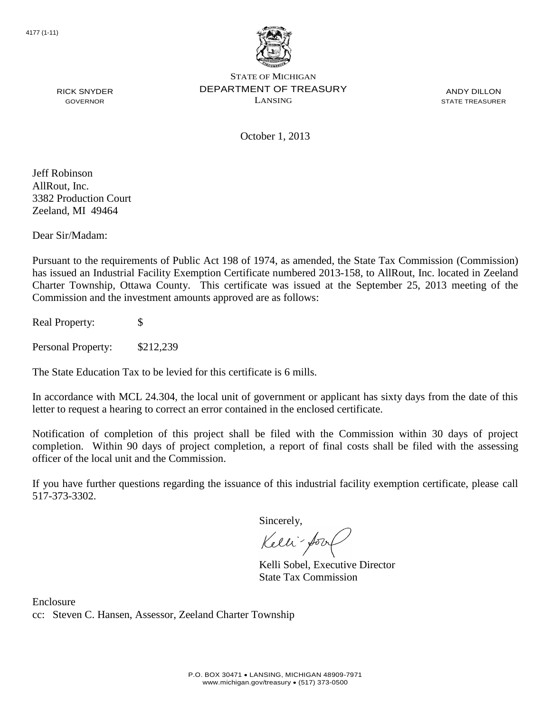

ANDY DILLON STATE TREASURER

October 1, 2013

Jeff Robinson AllRout, Inc. 3382 Production Court Zeeland, MI 49464

RICK SNYDER GOVERNOR

Dear Sir/Madam:

Pursuant to the requirements of Public Act 198 of 1974, as amended, the State Tax Commission (Commission) has issued an Industrial Facility Exemption Certificate numbered 2013-158, to AllRout, Inc. located in Zeeland Charter Township, Ottawa County. This certificate was issued at the September 25, 2013 meeting of the Commission and the investment amounts approved are as follows:

Real Property: \$

Personal Property: \$212,239

The State Education Tax to be levied for this certificate is 6 mills.

In accordance with MCL 24.304, the local unit of government or applicant has sixty days from the date of this letter to request a hearing to correct an error contained in the enclosed certificate.

Notification of completion of this project shall be filed with the Commission within 30 days of project completion. Within 90 days of project completion, a report of final costs shall be filed with the assessing officer of the local unit and the Commission.

If you have further questions regarding the issuance of this industrial facility exemption certificate, please call 517-373-3302.

Sincerely,

Kelli-Sor

Kelli Sobel, Executive Director State Tax Commission

Enclosure cc: Steven C. Hansen, Assessor, Zeeland Charter Township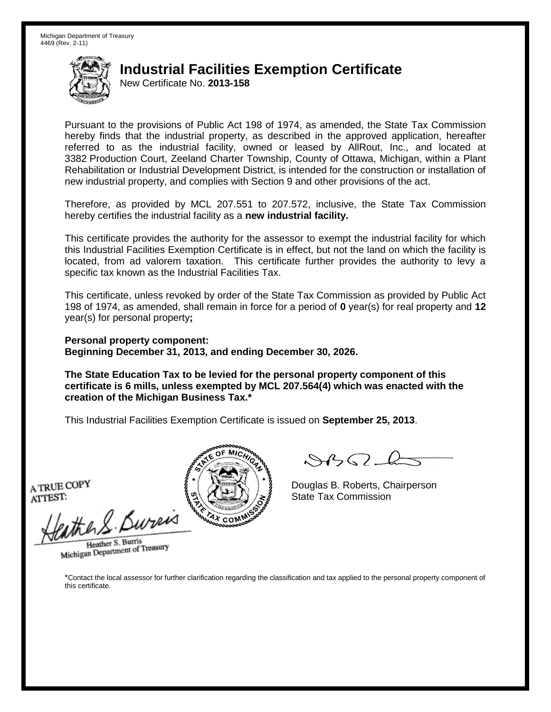New Certificate No. **2013-158**

Pursuant to the provisions of Public Act 198 of 1974, as amended, the State Tax Commission hereby finds that the industrial property, as described in the approved application, hereafter referred to as the industrial facility, owned or leased by AllRout, Inc., and located at 3382 Production Court, Zeeland Charter Township, County of Ottawa, Michigan, within a Plant Rehabilitation or Industrial Development District, is intended for the construction or installation of new industrial property, and complies with Section 9 and other provisions of the act.

Therefore, as provided by MCL 207.551 to 207.572, inclusive, the State Tax Commission hereby certifies the industrial facility as a **new industrial facility.**

This certificate provides the authority for the assessor to exempt the industrial facility for which this Industrial Facilities Exemption Certificate is in effect, but not the land on which the facility is located, from ad valorem taxation. This certificate further provides the authority to levy a specific tax known as the Industrial Facilities Tax.

This certificate, unless revoked by order of the State Tax Commission as provided by Public Act 198 of 1974, as amended, shall remain in force for a period of **0** year(s) for real property and **12** year(s) for personal property**;**

**Personal property component: Beginning December 31, 2013, and ending December 30, 2026.**

**The State Education Tax to be levied for the personal property component of this certificate is 6 mills, unless exempted by MCL 207.564(4) which was enacted with the creation of the Michigan Business Tax.\***

This Industrial Facilities Exemption Certificate is issued on **September 25, 2013**.

A TRUE COPY ATTEST:

eather & Bureix

Heather S. Burris Heather S. Burns<br>Michigan Department of Treasury



 $8450 - 6$ 

Douglas B. Roberts, Chairperson State Tax Commission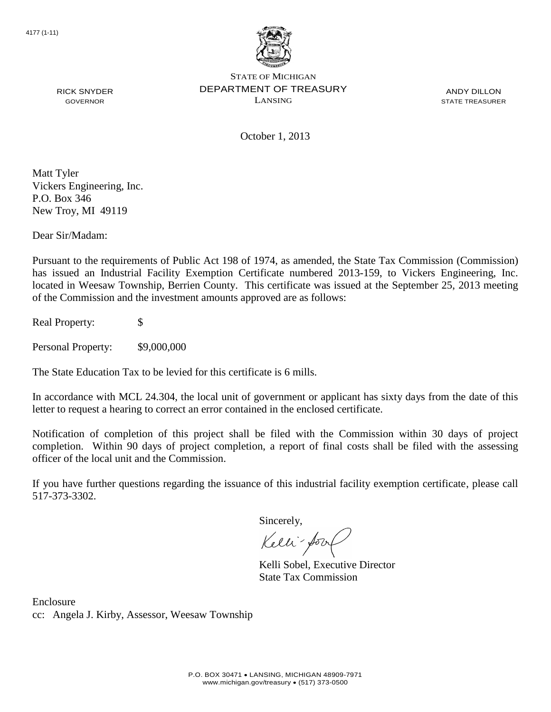

ANDY DILLON STATE TREASURER

RICK SNYDER GOVERNOR

October 1, 2013

Matt Tyler Vickers Engineering, Inc. P.O. Box 346 New Troy, MI 49119

Dear Sir/Madam:

Pursuant to the requirements of Public Act 198 of 1974, as amended, the State Tax Commission (Commission) has issued an Industrial Facility Exemption Certificate numbered 2013-159, to Vickers Engineering, Inc. located in Weesaw Township, Berrien County. This certificate was issued at the September 25, 2013 meeting of the Commission and the investment amounts approved are as follows:

Real Property: \$

Personal Property:  $$9,000,000$ 

The State Education Tax to be levied for this certificate is 6 mills.

In accordance with MCL 24.304, the local unit of government or applicant has sixty days from the date of this letter to request a hearing to correct an error contained in the enclosed certificate.

Notification of completion of this project shall be filed with the Commission within 30 days of project completion. Within 90 days of project completion, a report of final costs shall be filed with the assessing officer of the local unit and the Commission.

If you have further questions regarding the issuance of this industrial facility exemption certificate, please call 517-373-3302.

Sincerely,

Kelli-Sor

Kelli Sobel, Executive Director State Tax Commission

Enclosure cc: Angela J. Kirby, Assessor, Weesaw Township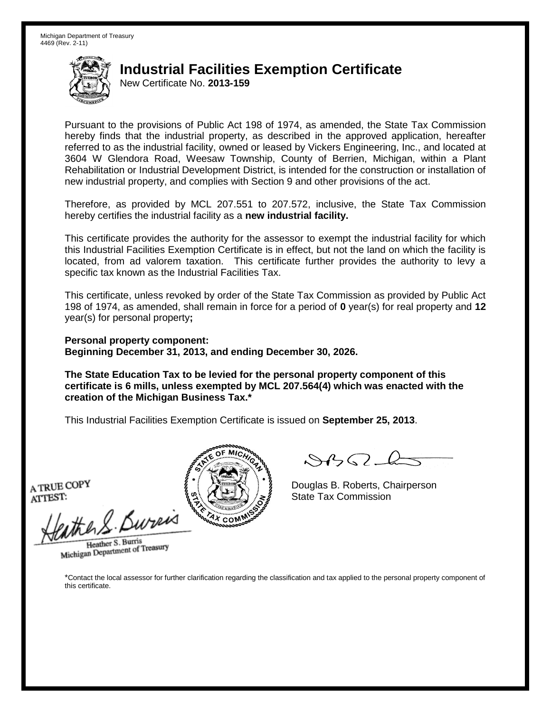New Certificate No. **2013-159**

Pursuant to the provisions of Public Act 198 of 1974, as amended, the State Tax Commission hereby finds that the industrial property, as described in the approved application, hereafter referred to as the industrial facility, owned or leased by Vickers Engineering, Inc., and located at 3604 W Glendora Road, Weesaw Township, County of Berrien, Michigan, within a Plant Rehabilitation or Industrial Development District, is intended for the construction or installation of new industrial property, and complies with Section 9 and other provisions of the act.

Therefore, as provided by MCL 207.551 to 207.572, inclusive, the State Tax Commission hereby certifies the industrial facility as a **new industrial facility.**

This certificate provides the authority for the assessor to exempt the industrial facility for which this Industrial Facilities Exemption Certificate is in effect, but not the land on which the facility is located, from ad valorem taxation. This certificate further provides the authority to levy a specific tax known as the Industrial Facilities Tax.

This certificate, unless revoked by order of the State Tax Commission as provided by Public Act 198 of 1974, as amended, shall remain in force for a period of **0** year(s) for real property and **12** year(s) for personal property**;**

**Personal property component: Beginning December 31, 2013, and ending December 30, 2026.**

**The State Education Tax to be levied for the personal property component of this certificate is 6 mills, unless exempted by MCL 207.564(4) which was enacted with the creation of the Michigan Business Tax.\***

This Industrial Facilities Exemption Certificate is issued on **September 25, 2013**.

A TRUE COPY ATTEST:

eather & Bureix

Heather S. Burris Heather S. Burns<br>Michigan Department of Treasury



 $8450 - 6$ 

Douglas B. Roberts, Chairperson State Tax Commission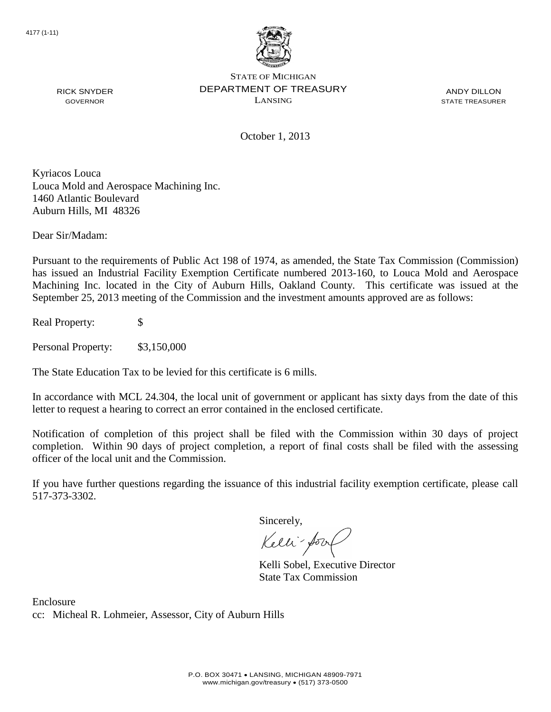

ANDY DILLON STATE TREASURER

October 1, 2013

Kyriacos Louca Louca Mold and Aerospace Machining Inc. 1460 Atlantic Boulevard Auburn Hills, MI 48326

Dear Sir/Madam:

RICK SNYDER GOVERNOR

Pursuant to the requirements of Public Act 198 of 1974, as amended, the State Tax Commission (Commission) has issued an Industrial Facility Exemption Certificate numbered 2013-160, to Louca Mold and Aerospace Machining Inc. located in the City of Auburn Hills, Oakland County. This certificate was issued at the September 25, 2013 meeting of the Commission and the investment amounts approved are as follows:

Real Property: \$

Personal Property: \$3,150,000

The State Education Tax to be levied for this certificate is 6 mills.

In accordance with MCL 24.304, the local unit of government or applicant has sixty days from the date of this letter to request a hearing to correct an error contained in the enclosed certificate.

Notification of completion of this project shall be filed with the Commission within 30 days of project completion. Within 90 days of project completion, a report of final costs shall be filed with the assessing officer of the local unit and the Commission.

If you have further questions regarding the issuance of this industrial facility exemption certificate, please call 517-373-3302.

Sincerely,

Kelli-Sor

Kelli Sobel, Executive Director State Tax Commission

Enclosure cc: Micheal R. Lohmeier, Assessor, City of Auburn Hills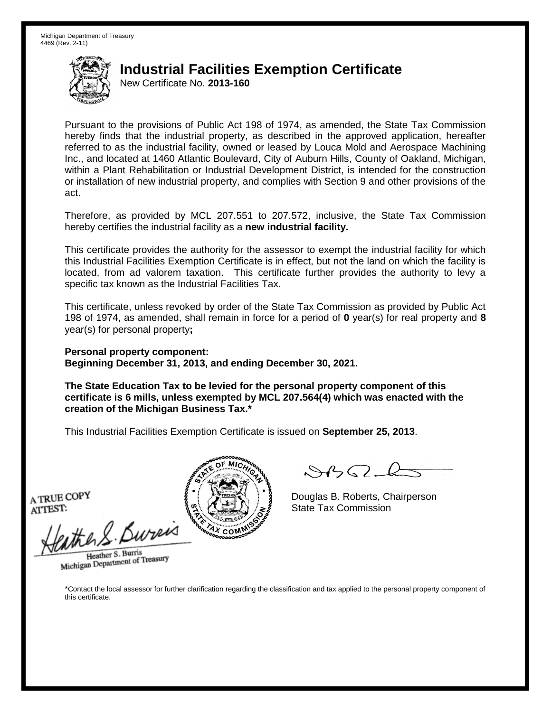New Certificate No. **2013-160**

Pursuant to the provisions of Public Act 198 of 1974, as amended, the State Tax Commission hereby finds that the industrial property, as described in the approved application, hereafter referred to as the industrial facility, owned or leased by Louca Mold and Aerospace Machining Inc., and located at 1460 Atlantic Boulevard, City of Auburn Hills, County of Oakland, Michigan, within a Plant Rehabilitation or Industrial Development District, is intended for the construction or installation of new industrial property, and complies with Section 9 and other provisions of the act.

Therefore, as provided by MCL 207.551 to 207.572, inclusive, the State Tax Commission hereby certifies the industrial facility as a **new industrial facility.**

This certificate provides the authority for the assessor to exempt the industrial facility for which this Industrial Facilities Exemption Certificate is in effect, but not the land on which the facility is located, from ad valorem taxation. This certificate further provides the authority to levy a specific tax known as the Industrial Facilities Tax.

This certificate, unless revoked by order of the State Tax Commission as provided by Public Act 198 of 1974, as amended, shall remain in force for a period of **0** year(s) for real property and **8** year(s) for personal property**;**

**Personal property component: Beginning December 31, 2013, and ending December 30, 2021.**

**The State Education Tax to be levied for the personal property component of this certificate is 6 mills, unless exempted by MCL 207.564(4) which was enacted with the creation of the Michigan Business Tax.\***

This Industrial Facilities Exemption Certificate is issued on **September 25, 2013**.

A TRUE COPY ATTEST:

athers Burner

Heather S. Burris Heather S. Burns<br>Michigan Department of Treasury



Douglas B. Roberts, Chairperson State Tax Commission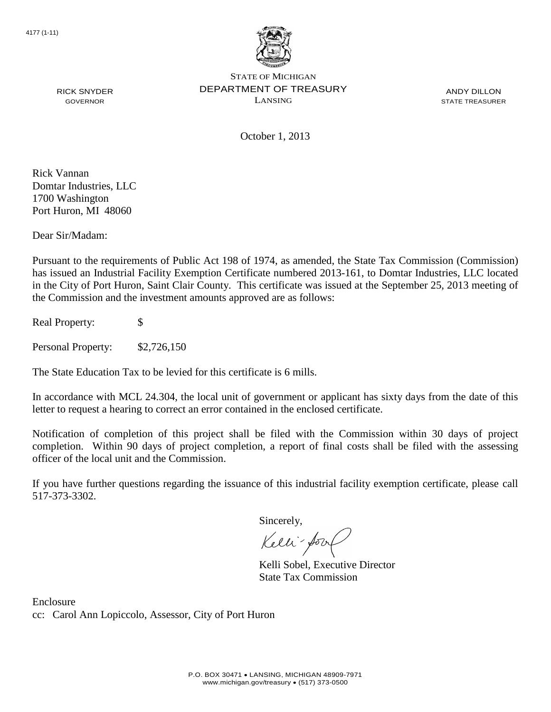

ANDY DILLON STATE TREASURER

RICK SNYDER GOVERNOR

October 1, 2013

Rick Vannan Domtar Industries, LLC 1700 Washington Port Huron, MI 48060

Dear Sir/Madam:

Pursuant to the requirements of Public Act 198 of 1974, as amended, the State Tax Commission (Commission) has issued an Industrial Facility Exemption Certificate numbered 2013-161, to Domtar Industries, LLC located in the City of Port Huron, Saint Clair County. This certificate was issued at the September 25, 2013 meeting of the Commission and the investment amounts approved are as follows:

Real Property: \$

Personal Property: \$2,726,150

The State Education Tax to be levied for this certificate is 6 mills.

In accordance with MCL 24.304, the local unit of government or applicant has sixty days from the date of this letter to request a hearing to correct an error contained in the enclosed certificate.

Notification of completion of this project shall be filed with the Commission within 30 days of project completion. Within 90 days of project completion, a report of final costs shall be filed with the assessing officer of the local unit and the Commission.

If you have further questions regarding the issuance of this industrial facility exemption certificate, please call 517-373-3302.

Sincerely,

Kelli-Sor

Kelli Sobel, Executive Director State Tax Commission

Enclosure cc: Carol Ann Lopiccolo, Assessor, City of Port Huron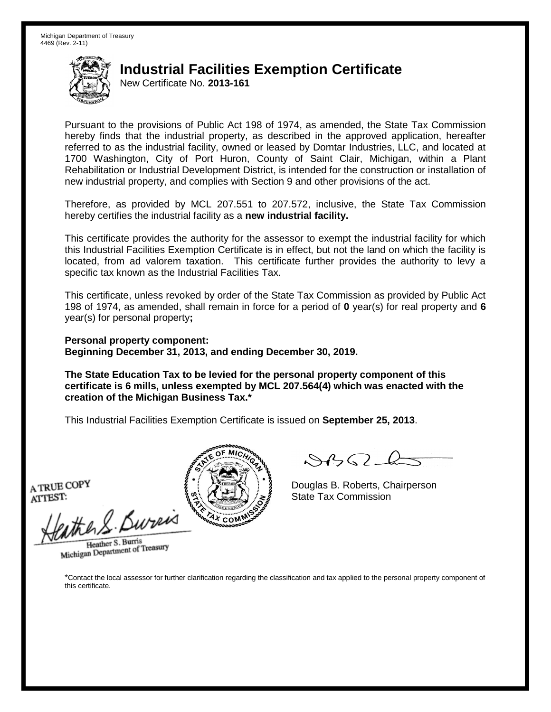New Certificate No. **2013-161**

Pursuant to the provisions of Public Act 198 of 1974, as amended, the State Tax Commission hereby finds that the industrial property, as described in the approved application, hereafter referred to as the industrial facility, owned or leased by Domtar Industries, LLC, and located at 1700 Washington, City of Port Huron, County of Saint Clair, Michigan, within a Plant Rehabilitation or Industrial Development District, is intended for the construction or installation of new industrial property, and complies with Section 9 and other provisions of the act.

Therefore, as provided by MCL 207.551 to 207.572, inclusive, the State Tax Commission hereby certifies the industrial facility as a **new industrial facility.**

This certificate provides the authority for the assessor to exempt the industrial facility for which this Industrial Facilities Exemption Certificate is in effect, but not the land on which the facility is located, from ad valorem taxation. This certificate further provides the authority to levy a specific tax known as the Industrial Facilities Tax.

This certificate, unless revoked by order of the State Tax Commission as provided by Public Act 198 of 1974, as amended, shall remain in force for a period of **0** year(s) for real property and **6** year(s) for personal property**;**

**Personal property component: Beginning December 31, 2013, and ending December 30, 2019.**

**The State Education Tax to be levied for the personal property component of this certificate is 6 mills, unless exempted by MCL 207.564(4) which was enacted with the creation of the Michigan Business Tax.\***

This Industrial Facilities Exemption Certificate is issued on **September 25, 2013**.

A TRUE COPY ATTEST:

eather & Bureix

Heather S. Burris Heather S. Burns<br>Michigan Department of Treasury



 $8450 - 6$ 

Douglas B. Roberts, Chairperson State Tax Commission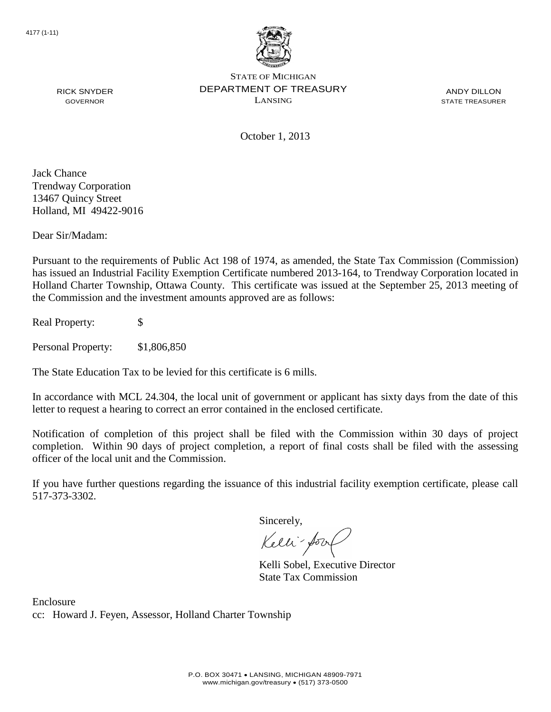

ANDY DILLON STATE TREASURER

RICK SNYDER GOVERNOR

October 1, 2013

Jack Chance Trendway Corporation 13467 Quincy Street Holland, MI 49422-9016

Dear Sir/Madam:

Pursuant to the requirements of Public Act 198 of 1974, as amended, the State Tax Commission (Commission) has issued an Industrial Facility Exemption Certificate numbered 2013-164, to Trendway Corporation located in Holland Charter Township, Ottawa County. This certificate was issued at the September 25, 2013 meeting of the Commission and the investment amounts approved are as follows:

Real Property: \$

Personal Property: \$1,806,850

The State Education Tax to be levied for this certificate is 6 mills.

In accordance with MCL 24.304, the local unit of government or applicant has sixty days from the date of this letter to request a hearing to correct an error contained in the enclosed certificate.

Notification of completion of this project shall be filed with the Commission within 30 days of project completion. Within 90 days of project completion, a report of final costs shall be filed with the assessing officer of the local unit and the Commission.

If you have further questions regarding the issuance of this industrial facility exemption certificate, please call 517-373-3302.

Sincerely,

Kelli-Sor

Kelli Sobel, Executive Director State Tax Commission

Enclosure cc: Howard J. Feyen, Assessor, Holland Charter Township